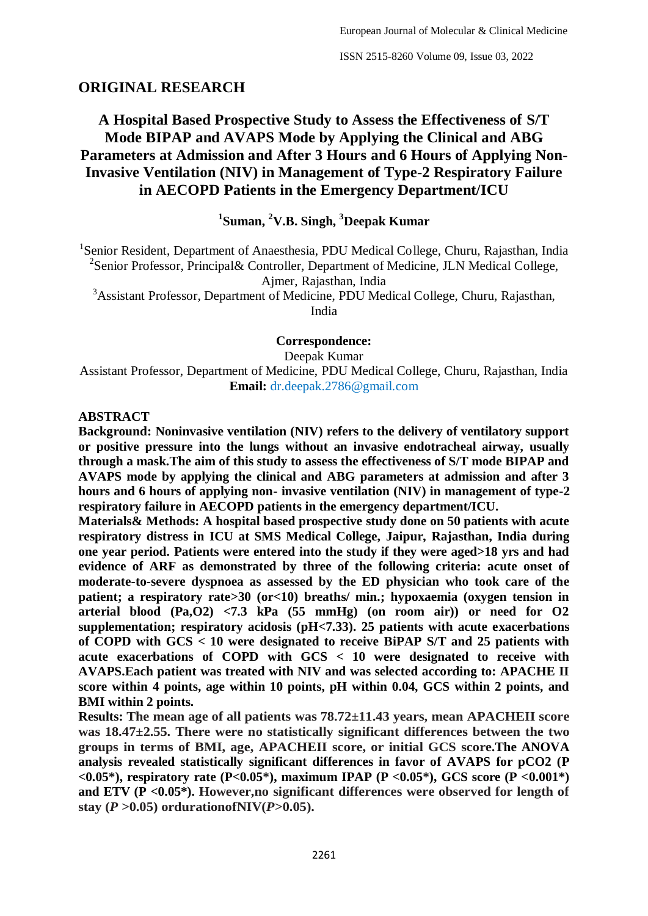## **ORIGINAL RESEARCH**

# **A Hospital Based Prospective Study to Assess the Effectiveness of S/T Mode BIPAP and AVAPS Mode by Applying the Clinical and ABG Parameters at Admission and After 3 Hours and 6 Hours of Applying Non-Invasive Ventilation (NIV) in Management of Type-2 Respiratory Failure in AECOPD Patients in the Emergency Department/ICU**

### **1 Suman, <sup>2</sup>V.B. Singh, <sup>3</sup>Deepak Kumar**

<sup>1</sup>Senior Resident, Department of Anaesthesia, PDU Medical College, Churu, Rajasthan, India <sup>2</sup>Senior Professor, Principal& Controller, Department of Medicine, JLN Medical College, Ajmer, Rajasthan, India

<sup>3</sup>Assistant Professor, Department of Medicine, PDU Medical College, Churu, Rajasthan, India

#### **Correspondence:**

#### Deepak Kumar

Assistant Professor, Department of Medicine, PDU Medical College, Churu, Rajasthan, India **Email:** dr.deepak.2786@gmail.com

#### **ABSTRACT**

**Background: Noninvasive ventilation (NIV) refers to the delivery of ventilatory support or positive pressure into the lungs without an invasive endotracheal airway, usually through a mask.The aim of this study to assess the effectiveness of S/T mode BIPAP and AVAPS mode by applying the clinical and ABG parameters at admission and after 3 hours and 6 hours of applying non- invasive ventilation (NIV) in management of type-2 respiratory failure in AECOPD patients in the emergency department/ICU.**

**Materials& Methods: A hospital based prospective study done on 50 patients with acute respiratory distress in ICU at SMS Medical College, Jaipur, Rajasthan, India during one year period. Patients were entered into the study if they were aged>18 yrs and had evidence of ARF as demonstrated by three of the following criteria: acute onset of moderate-to-severe dyspnoea as assessed by the ED physician who took care of the patient; a respiratory rate>30 (or<10) breaths/ min.; hypoxaemia (oxygen tension in arterial blood (Pa,O2) <7.3 kPa (55 mmHg) (on room air)) or need for O2 supplementation; respiratory acidosis (pH<7.33). 25 patients with acute exacerbations of COPD with GCS < 10 were designated to receive BiPAP S/T and 25 patients with acute exacerbations of COPD with GCS < 10 were designated to receive with AVAPS.Each patient was treated with NIV and was selected according to: APACHE II score within 4 points, age within 10 points, pH within 0.04, GCS within 2 points, and BMI within 2 points.**

**Results: The mean age of all patients was 78.72±11.43 years, mean APACHEII score was 18.47±2.55. There were no statistically significant differences between the two groups in terms of BMI, age, APACHEII score, or initial GCS score.The ANOVA analysis revealed statistically significant differences in favor of AVAPS for pCO2 (P <0.05\*), respiratory rate (P<0.05\*), maximum IPAP (P <0.05\*), GCS score (P <0.001\*) and ETV (P <0.05\*). However,no significant differences were observed for length of**  stay  $(P > 0.05)$  ordurationofNIV $(P > 0.05)$ .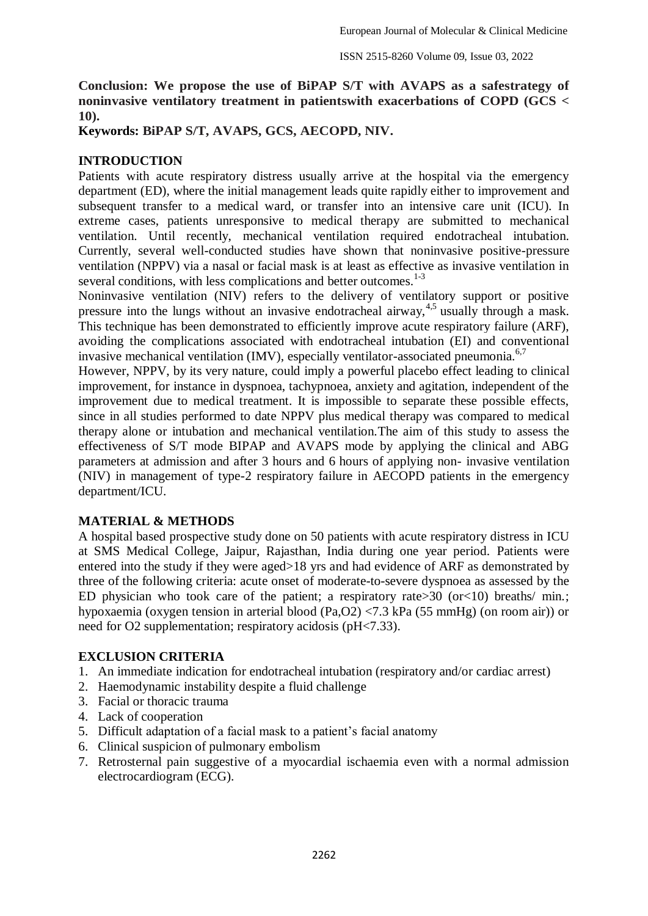**Conclusion: We propose the use of BiPAP S/T with AVAPS as a safestrategy of noninvasive ventilatory treatment in patientswith exacerbations of COPD (GCS < 10).**

**Keywords: BiPAP S/T, AVAPS, GCS, AECOPD, NIV.**

### **INTRODUCTION**

Patients with acute respiratory distress usually arrive at the hospital via the emergency department (ED), where the initial management leads quite rapidly either to improvement and subsequent transfer to a medical ward, or transfer into an intensive care unit (ICU). In extreme cases, patients unresponsive to medical therapy are submitted to mechanical ventilation. Until recently, mechanical ventilation required endotracheal intubation. Currently, several well-conducted studies have shown that noninvasive positive-pressure ventilation (NPPV) via a nasal or facial mask is at least as effective as invasive ventilation in several conditions, with less complications and better outcomes.<sup>1-3</sup>

Noninvasive ventilation (NIV) refers to the delivery of ventilatory support or positive pressure into the lungs without an invasive endotracheal airway,  $4.5$  usually through a mask. This technique has been demonstrated to efficiently improve acute respiratory failure (ARF), avoiding the complications associated with endotracheal intubation (EI) and conventional invasive mechanical ventilation (IMV), especially ventilator-associated pneumonia.<sup>6,7</sup>

However, NPPV, by its very nature, could imply a powerful placebo effect leading to clinical improvement, for instance in dyspnoea, tachypnoea, anxiety and agitation, independent of the improvement due to medical treatment. It is impossible to separate these possible effects, since in all studies performed to date NPPV plus medical therapy was compared to medical therapy alone or intubation and mechanical ventilation.The aim of this study to assess the effectiveness of S/T mode BIPAP and AVAPS mode by applying the clinical and ABG parameters at admission and after 3 hours and 6 hours of applying non- invasive ventilation (NIV) in management of type-2 respiratory failure in AECOPD patients in the emergency department/ICU.

#### **MATERIAL & METHODS**

A hospital based prospective study done on 50 patients with acute respiratory distress in ICU at SMS Medical College, Jaipur, Rajasthan, India during one year period. Patients were entered into the study if they were aged>18 yrs and had evidence of ARF as demonstrated by three of the following criteria: acute onset of moderate-to-severe dyspnoea as assessed by the ED physician who took care of the patient; a respiratory rate  $>$  30 (or  $<$  10) breaths/ min.; hypoxaemia (oxygen tension in arterial blood (Pa,O2) <7.3 kPa (55 mmHg) (on room air)) or need for O2 supplementation; respiratory acidosis (pH<7.33).

### **EXCLUSION CRITERIA**

- 1. An immediate indication for endotracheal intubation (respiratory and/or cardiac arrest)
- 2. Haemodynamic instability despite a fluid challenge
- 3. Facial or thoracic trauma
- 4. Lack of cooperation
- 5. Difficult adaptation of a facial mask to a patient's facial anatomy
- 6. Clinical suspicion of pulmonary embolism
- 7. Retrosternal pain suggestive of a myocardial ischaemia even with a normal admission electrocardiogram (ECG).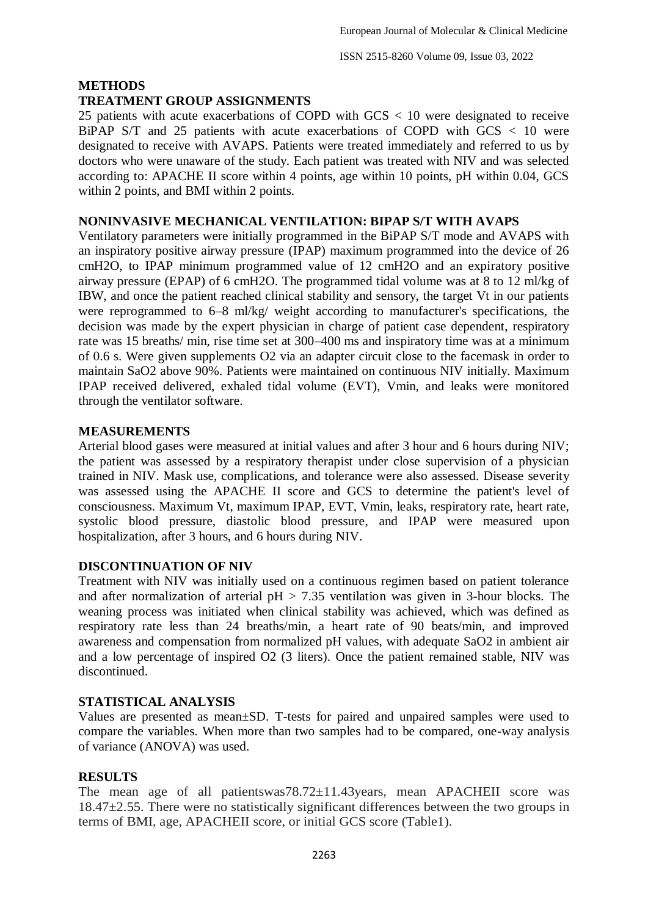#### **METHODS**

#### **TREATMENT GROUP ASSIGNMENTS**

25 patients with acute exacerbations of COPD with GCS < 10 were designated to receive BiPAP S/T and 25 patients with acute exacerbations of COPD with GCS < 10 were designated to receive with AVAPS. Patients were treated immediately and referred to us by doctors who were unaware of the study. Each patient was treated with NIV and was selected according to: APACHE II score within 4 points, age within 10 points, pH within 0.04, GCS within 2 points, and BMI within 2 points.

#### **NONINVASIVE MECHANICAL VENTILATION: BIPAP S/T WITH AVAPS**

Ventilatory parameters were initially programmed in the BiPAP S/T mode and AVAPS with an inspiratory positive airway pressure (IPAP) maximum programmed into the device of 26 cmH2O, to IPAP minimum programmed value of 12 cmH2O and an expiratory positive airway pressure (EPAP) of 6 cmH2O. The programmed tidal volume was at 8 to 12 ml/kg of IBW, and once the patient reached clinical stability and sensory, the target Vt in our patients were reprogrammed to 6–8 ml/kg/ weight according to manufacturer's specifications, the decision was made by the expert physician in charge of patient case dependent, respiratory rate was 15 breaths/ min, rise time set at 300–400 ms and inspiratory time was at a minimum of 0.6 s. Were given supplements O2 via an adapter circuit close to the facemask in order to maintain SaO2 above 90%. Patients were maintained on continuous NIV initially. Maximum IPAP received delivered, exhaled tidal volume (EVT), Vmin, and leaks were monitored through the ventilator software.

#### **MEASUREMENTS**

Arterial blood gases were measured at initial values and after 3 hour and 6 hours during NIV; the patient was assessed by a respiratory therapist under close supervision of a physician trained in NIV. Mask use, complications, and tolerance were also assessed. Disease severity was assessed using the APACHE II score and GCS to determine the patient's level of consciousness. Maximum Vt, maximum IPAP, EVT, Vmin, leaks, respiratory rate, heart rate, systolic blood pressure, diastolic blood pressure, and IPAP were measured upon hospitalization, after 3 hours, and 6 hours during NIV.

#### **DISCONTINUATION OF NIV**

Treatment with NIV was initially used on a continuous regimen based on patient tolerance and after normalization of arterial  $pH > 7.35$  ventilation was given in 3-hour blocks. The weaning process was initiated when clinical stability was achieved, which was defined as respiratory rate less than 24 breaths/min, a heart rate of 90 beats/min, and improved awareness and compensation from normalized pH values, with adequate SaO2 in ambient air and a low percentage of inspired O2 (3 liters). Once the patient remained stable, NIV was discontinued.

#### **STATISTICAL ANALYSIS**

Values are presented as mean±SD. T-tests for paired and unpaired samples were used to compare the variables. When more than two samples had to be compared, one-way analysis of variance (ANOVA) was used.

#### **RESULTS**

The mean age of all patientswas78.72±11.43years, mean APACHEII score was 18.47±2.55. There were no statistically significant differences between the two groups in terms of BMI, age, APACHEII score, or initial GCS score (Table1).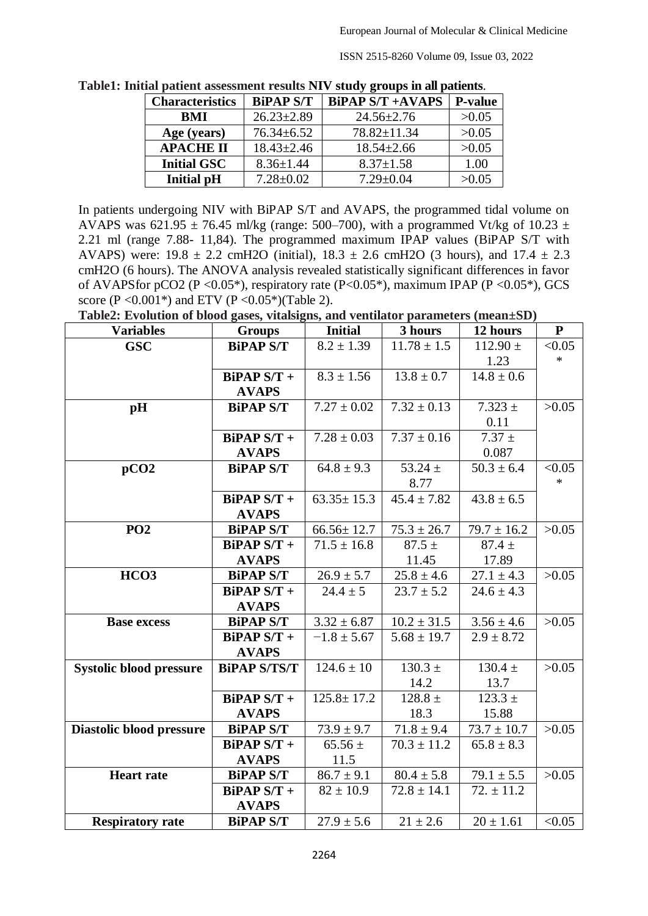ISSN 2515-8260 Volume 09, Issue 03, 2022

| <b>Characteristics</b> | <b>BiPAP S/T</b> | <b>BiPAP S/T +AVAPS</b> | <b>P-value</b> |
|------------------------|------------------|-------------------------|----------------|
| <b>BMI</b>             | $26.23 \pm 2.89$ | $24.56 \pm 2.76$        | >0.05          |
| Age (years)            | $76.34 \pm 6.52$ | 78.82±11.34             | >0.05          |
| <b>APACHE II</b>       | $18.43 \pm 2.46$ | $18.54 \pm 2.66$        | >0.05          |
| <b>Initial GSC</b>     | $8.36 \pm 1.44$  | $8.37 \pm 1.58$         | 1.00           |
| <b>Initial pH</b>      | $7.28 \pm 0.02$  | $7.29 \pm 0.04$         | >0.05          |

**Table1: Initial patient assessment results NIV study groups in all patients**.

In patients undergoing NIV with BiPAP S/T and AVAPS, the programmed tidal volume on AVAPS was 621.95  $\pm$  76.45 ml/kg (range: 500–700), with a programmed Vt/kg of 10.23  $\pm$ 2.21 ml (range 7.88- 11,84). The programmed maximum IPAP values (BiPAP S/T with AVAPS) were:  $19.8 \pm 2.2$  cmH2O (initial),  $18.3 \pm 2.6$  cmH2O (3 hours), and  $17.4 \pm 2.3$ cmH2O (6 hours). The ANOVA analysis revealed statistically significant differences in favor of AVAPS for pCO2 (P <  $0.05^*$ ), respiratory rate (P <  $0.05^*$ ), maximum IPAP (P <  $0.05^*$ ), GCS score (P < 0.001\*) and ETV (P < 0.05\*)(Table 2).

**Table2: Evolution of blood gases, vitalsigns, and ventilator parameters (mean±SD)**

| <b>Variables</b>               | TOIMMON ON DROOM HEDDY THEORISMS HIM TENNIMAL PHEMINEUM<br><b>Groups</b> | <b>Initial</b>   | 3 hours                   | 12 hours                | ${\bf P}$ |
|--------------------------------|--------------------------------------------------------------------------|------------------|---------------------------|-------------------------|-----------|
| GSC                            | <b>BiPAP S/T</b>                                                         | $8.2 \pm 1.39$   | $11.78 \pm 1.5$           | $112.90 \pm$            | < 0.05    |
|                                |                                                                          |                  |                           | 1.23                    | $\ast$    |
|                                | $BiPAP S/T +$                                                            | $8.3 \pm 1.56$   | $13.8 \pm 0.7$            | $14.8 \pm 0.6$          |           |
|                                | <b>AVAPS</b>                                                             |                  |                           |                         |           |
| pH                             | <b>BiPAP S/T</b>                                                         | $7.27 \pm 0.02$  | $7.32 \pm 0.13$           | $7.323 \pm$             | >0.05     |
|                                |                                                                          |                  |                           | 0.11                    |           |
|                                | $BiPAP S/T +$                                                            | $7.28 \pm 0.03$  | $7.37 \pm 0.16$           | $7.37 \pm$              |           |
|                                | <b>AVAPS</b>                                                             |                  |                           | 0.087                   |           |
| pCO2                           | <b>BiPAP S/T</b>                                                         | $64.8 \pm 9.3$   | 53.24 $\pm$               | $50.3 \pm 6.4$          | < 0.05    |
|                                |                                                                          |                  | 8.77                      |                         | $\ast$    |
|                                | $BiPAP S/T +$                                                            | $63.35 \pm 15.3$ | $45.4 \pm 7.82$           | $43.8 \pm 6.5$          |           |
|                                | <b>AVAPS</b>                                                             |                  |                           |                         |           |
| <b>PO2</b>                     | <b>BiPAP S/T</b>                                                         | $66.56 \pm 12.7$ | $75.3 \pm 26.7$           | $79.7 \pm 16.2$         | >0.05     |
|                                | $BiPAP S/T +$                                                            | $71.5 \pm 16.8$  | $87.5 \pm$                | $87.4 \pm$              |           |
|                                | <b>AVAPS</b>                                                             |                  | 11.45                     | 17.89                   |           |
| HCO <sub>3</sub>               | <b>BiPAP S/T</b>                                                         | $26.9 \pm 5.7$   | $\overline{25.8} \pm 4.6$ | $\overline{27.1}$ ± 4.3 | >0.05     |
|                                | $BiPAP S/T +$                                                            | $24.4 \pm 5$     | $23.7 \pm 5.2$            | $24.6 \pm 4.3$          |           |
|                                | <b>AVAPS</b>                                                             |                  |                           |                         |           |
| <b>Base excess</b>             | <b>BiPAP S/T</b>                                                         | $3.32 \pm 6.87$  | $10.2 \pm 31.5$           | $3.56 \pm 4.6$          | >0.05     |
|                                | $BiPAP S/T +$                                                            | $-1.8 \pm 5.67$  | $5.68 \pm 19.7$           | $2.9 \pm 8.72$          |           |
|                                | <b>AVAPS</b>                                                             |                  |                           |                         |           |
| <b>Systolic blood pressure</b> | <b>BiPAP S/TS/T</b>                                                      | $124.6 \pm 10$   | $130.3 \pm$               | $130.4 \pm$             | >0.05     |
|                                |                                                                          |                  | 14.2                      | 13.7                    |           |
|                                | <b>BiPAP S/T +</b>                                                       | $125.8 \pm 17.2$ | $128.8 \pm$               | $\overline{123.3}$ ±    |           |
|                                | <b>AVAPS</b>                                                             |                  | 18.3                      | 15.88                   |           |
| Diastolic blood pressure       | <b>BiPAP S/T</b>                                                         | $73.9 \pm 9.7$   | $71.8 \pm 9.4$            | $73.7 \pm 10.7$         | >0.05     |
|                                | $BiPAP S/T +$                                                            | $65.56\,\pm\,$   | $70.3 \pm 11.2$           | $65.8 \pm 8.3$          |           |
|                                | <b>AVAPS</b>                                                             | 11.5             |                           |                         |           |
| <b>Heart rate</b>              | <b>BiPAP S/T</b>                                                         | $86.7 \pm 9.1$   | $80.4 \pm 5.8$            | $79.1 \pm 5.5$          | >0.05     |
|                                | $BiPAP S/T +$                                                            | $82 \pm 10.9$    | $72.8 \pm 14.1$           | $72. \pm 11.2$          |           |
|                                | <b>AVAPS</b>                                                             |                  |                           |                         |           |
| <b>Respiratory rate</b>        | <b>BiPAP S/T</b>                                                         | $27.9 \pm 5.6$   | $21 \pm 2.6$              | $20 \pm 1.61$           | < 0.05    |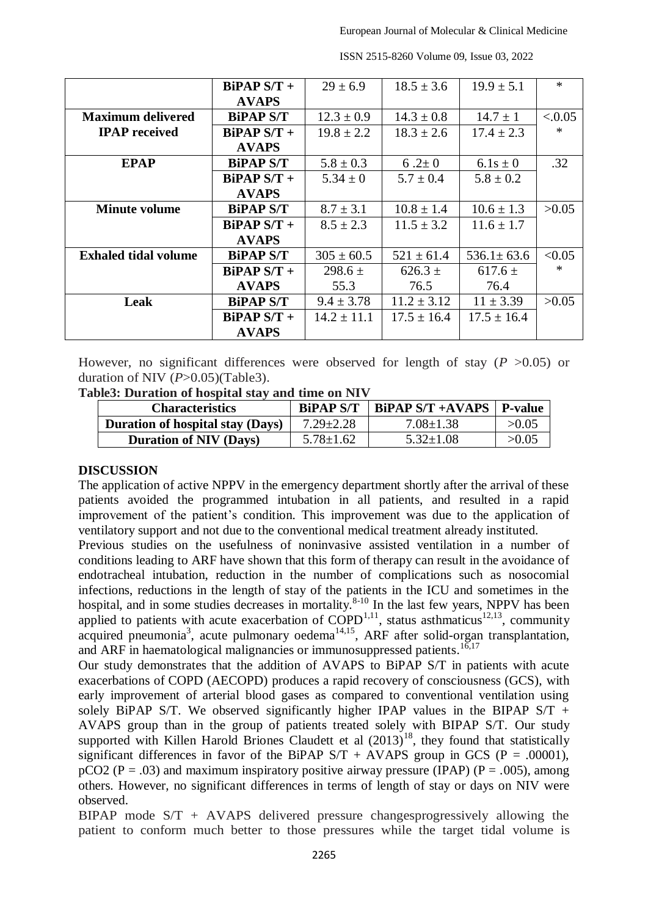|                             | $BiPAP S/T +$    | $29 \pm 6.9$    | $18.5 \pm 3.6$  | $19.9 \pm 5.1$   | $\ast$ |
|-----------------------------|------------------|-----------------|-----------------|------------------|--------|
|                             | <b>AVAPS</b>     |                 |                 |                  |        |
| <b>Maximum delivered</b>    | <b>BiPAP S/T</b> | $12.3 \pm 0.9$  | $14.3 \pm 0.8$  | $14.7 \pm 1$     | < 0.05 |
| <b>IPAP</b> received        | $BiPAP S/T +$    | $19.8 \pm 2.2$  | $18.3 \pm 2.6$  | $17.4 \pm 2.3$   | $\ast$ |
|                             | <b>AVAPS</b>     |                 |                 |                  |        |
| <b>EPAP</b>                 | <b>BiPAP S/T</b> | $5.8 \pm 0.3$   | 6.2 $\pm 0$     | $6.1s \pm 0$     | .32    |
|                             | $BiPAP S/T +$    | $5.34 \pm 0$    | $5.7 \pm 0.4$   | $5.8 \pm 0.2$    |        |
|                             | <b>AVAPS</b>     |                 |                 |                  |        |
| <b>Minute volume</b>        | <b>BiPAP S/T</b> | $8.7 \pm 3.1$   | $10.8 \pm 1.4$  | $10.6 \pm 1.3$   | >0.05  |
|                             | $BiPAP S/T +$    | $8.5 \pm 2.3$   | $11.5 \pm 3.2$  | $11.6 \pm 1.7$   |        |
|                             | <b>AVAPS</b>     |                 |                 |                  |        |
| <b>Exhaled tidal volume</b> | <b>BiPAP S/T</b> | $305 \pm 60.5$  | $521 \pm 61.4$  | $536.1 \pm 63.6$ | < 0.05 |
|                             | $BiPAP S/T +$    | $298.6 \pm$     | $626.3 \pm$     | $617.6 \pm$      | $\ast$ |
|                             | <b>AVAPS</b>     | 55.3            | 76.5            | 76.4             |        |
| Leak                        | <b>BiPAP S/T</b> | $9.4 \pm 3.78$  | $11.2 \pm 3.12$ | $11 \pm 3.39$    | >0.05  |
|                             | $BiPAP S/T +$    | $14.2 \pm 11.1$ | $17.5 \pm 16.4$ | $17.5 \pm 16.4$  |        |
|                             | <b>AVAPS</b>     |                 |                 |                  |        |

ISSN 2515-8260 Volume 09, Issue 03, 2022

However, no significant differences were observed for length of stay  $(P > 0.05)$  or duration of NIV (*P*>0.05)(Table3).

**Table3: Duration of hospital stay and time on NIV**

| <b>Characteristics</b>                  | <b>BiPAP S/T</b> | BiPAP S/T +AVAPS | P-value |
|-----------------------------------------|------------------|------------------|---------|
| <b>Duration of hospital stay (Days)</b> | $7.29 \pm 2.28$  | $7.08 \pm 1.38$  | >0.05   |
| <b>Duration of NIV (Days)</b>           | $5.78 \pm 1.62$  | $5.32 \pm 1.08$  | >0.05   |

#### **DISCUSSION**

The application of active NPPV in the emergency department shortly after the arrival of these patients avoided the programmed intubation in all patients, and resulted in a rapid improvement of the patient's condition. This improvement was due to the application of ventilatory support and not due to the conventional medical treatment already instituted.

Previous studies on the usefulness of noninvasive assisted ventilation in a number of conditions leading to ARF have shown that this form of therapy can result in the avoidance of endotracheal intubation, reduction in the number of complications such as nosocomial infections, reductions in the length of stay of the patients in the ICU and sometimes in the hospital, and in some studies decreases in mortality.<sup>8-10</sup> In the last few years, NPPV has been applied to patients with acute exacerbation of  $\text{COPD}^{1,11}$ , status asthmaticus<sup>12,13</sup>, community acquired pneumonia<sup>3</sup>, acute pulmonary oedema<sup>14,15</sup>, ARF after solid-organ transplantation, and ARF in haematological malignancies or immunosuppressed patients.<sup>16,17</sup>

Our study demonstrates that the addition of AVAPS to BiPAP S/T in patients with acute exacerbations of COPD (AECOPD) produces a rapid recovery of consciousness (GCS), with early improvement of arterial blood gases as compared to conventional ventilation using solely BiPAP S/T. We observed significantly higher IPAP values in the BIPAP S/T + AVAPS group than in the group of patients treated solely with BIPAP S/T. Our study supported with Killen Harold Briones Claudett et al  $(2013)^{18}$ , they found that statistically significant differences in favor of the BiPAP  $S/T + AVAPS$  group in GCS (P = .00001),  $pCO2 (P = .03)$  and maximum inspiratory positive airway pressure (IPAP) (P = .005), among others. However, no significant differences in terms of length of stay or days on NIV were observed.

BIPAP mode  $S/T$  + AVAPS delivered pressure changesprogressively allowing the patient to conform much better to those pressures while the target tidal volume is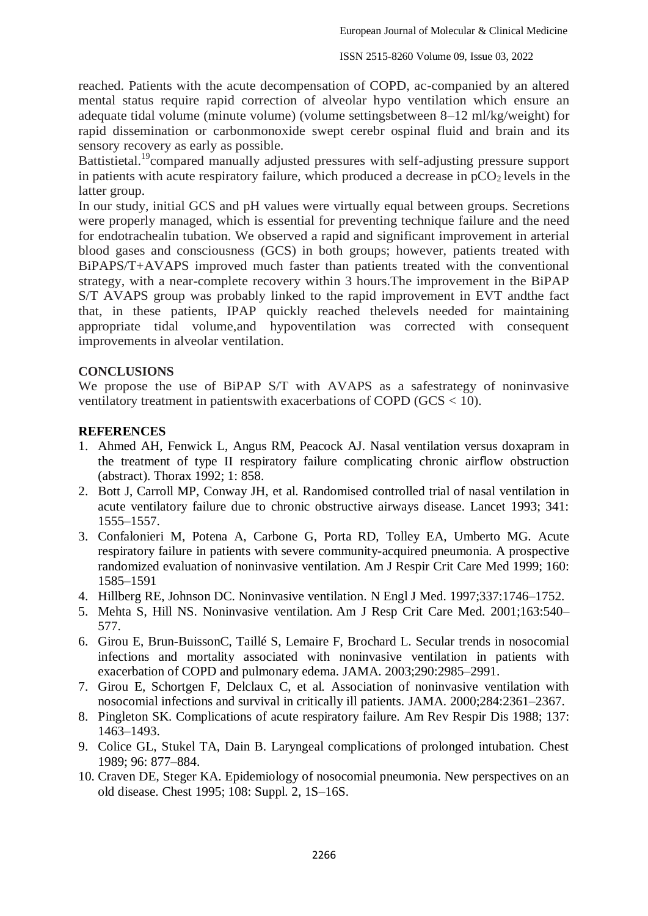reached. Patients with the acute decompensation of COPD, ac-companied by an altered mental status require rapid correction of alveolar hypo ventilation which ensure an adequate tidal volume (minute volume) (volume settingsbetween 8–12 ml/kg/weight) for rapid dissemination or carbonmonoxide swept cerebr ospinal fluid and brain and its sensory recovery as early as possible.

Battistietal.<sup>19</sup>compared manually adjusted pressures with self-adjusting pressure support in patients with acute respiratory failure, which produced a decrease in  $pCO<sub>2</sub>$  levels in the latter group.

In our study, initial GCS and pH values were virtually equal between groups. Secretions were properly managed, which is essential for preventing technique failure and the need for endotrachealin tubation. We observed a rapid and significant improvement in arterial blood gases and consciousness (GCS) in both groups; however, patients treated with BiPAPS/T+AVAPS improved much faster than patients treated with the conventional strategy, with a near-complete recovery within 3 hours.The improvement in the BiPAP S/T AVAPS group was probably linked to the rapid improvement in EVT andthe fact that, in these patients, IPAP quickly reached thelevels needed for maintaining appropriate tidal volume,and hypoventilation was corrected with consequent improvements in alveolar ventilation.

#### **CONCLUSIONS**

We propose the use of BiPAP S/T with AVAPS as a safestrategy of noninvasive ventilatory treatment in patientswith exacerbations of COPD (GCS < 10).

#### **REFERENCES**

- 1. Ahmed AH, Fenwick L, Angus RM, Peacock AJ. Nasal ventilation versus doxapram in the treatment of type II respiratory failure complicating chronic airflow obstruction (abstract). Thorax 1992; 1: 858.
- 2. Bott J, Carroll MP, Conway JH, et al. Randomised controlled trial of nasal ventilation in acute ventilatory failure due to chronic obstructive airways disease. Lancet 1993; 341: 1555–1557.
- 3. Confalonieri M, Potena A, Carbone G, Porta RD, Tolley EA, Umberto MG. Acute respiratory failure in patients with severe community-acquired pneumonia. A prospective randomized evaluation of noninvasive ventilation. Am J Respir Crit Care Med 1999; 160: 1585–1591
- 4. Hillberg RE, Johnson DC. Noninvasive ventilation. N Engl J Med. 1997;337:1746–1752.
- 5. Mehta S, Hill NS. Noninvasive ventilation. Am J Resp Crit Care Med. 2001;163:540– 577.
- 6. Girou E, Brun-BuissonC, Taillé S, Lemaire F, Brochard L. Secular trends in nosocomial infections and mortality associated with noninvasive ventilation in patients with exacerbation of COPD and pulmonary edema. JAMA. 2003;290:2985–2991.
- 7. Girou E, Schortgen F, Delclaux C, et al. Association of noninvasive ventilation with nosocomial infections and survival in critically ill patients. JAMA. 2000;284:2361–2367.
- 8. Pingleton SK. Complications of acute respiratory failure. Am Rev Respir Dis 1988; 137: 1463–1493.
- 9. Colice GL, Stukel TA, Dain B. Laryngeal complications of prolonged intubation. Chest 1989; 96: 877–884.
- 10. Craven DE, Steger KA. Epidemiology of nosocomial pneumonia. New perspectives on an old disease. Chest 1995; 108: Suppl. 2, 1S–16S.